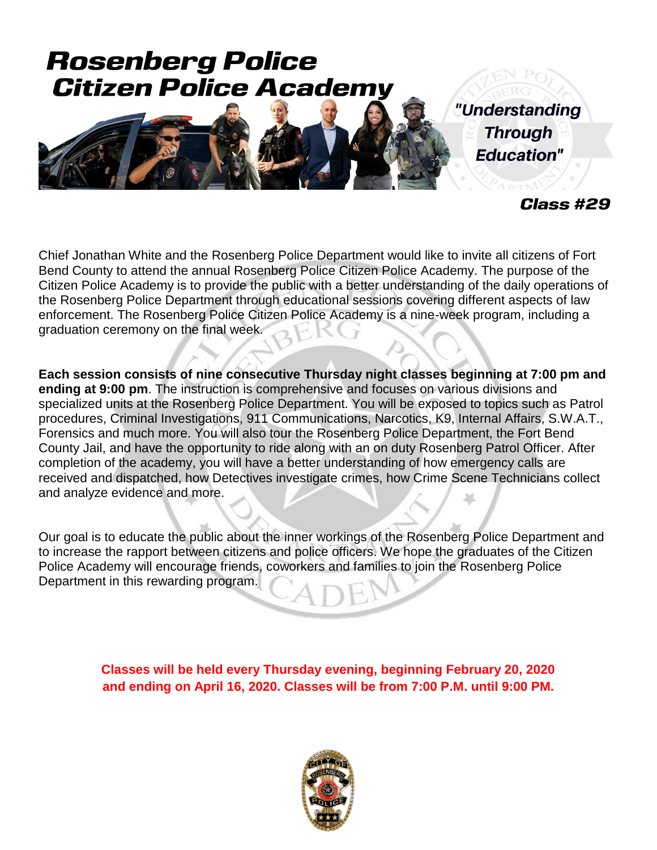# **Rosenberg Police Citizen Police Academy**



"Understanding **Through Education"** 

Class #29

Chief Jonathan White and the Rosenberg Police Department would like to invite all citizens of Fort Bend County to attend the annual Rosenberg Police Citizen Police Academy. The purpose of the Citizen Police Academy is to provide the public with a better understanding of the daily operations of the Rosenberg Police Department through educational sessions covering different aspects of law enforcement. The Rosenberg Police Citizen Police Academy is a nine-week program, including a graduation ceremony on the final week.

**Each session consists of nine consecutive Thursday night classes beginning at 7:00 pm and ending at 9:00 pm**. The instruction is comprehensive and focuses on various divisions and specialized units at the Rosenberg Police Department. You will be exposed to topics such as Patrol procedures, Criminal Investigations, 911 Communications, Narcotics, K9, Internal Affairs, S.W.A.T., Forensics and much more. You will also tour the Rosenberg Police Department, the Fort Bend County Jail, and have the opportunity to ride along with an on duty Rosenberg Patrol Officer. After completion of the academy, you will have a better understanding of how emergency calls are received and dispatched, how Detectives investigate crimes, how Crime Scene Technicians collect and analyze evidence and more.

Our goal is to educate the public about the inner workings of the Rosenberg Police Department and to increase the rapport between citizens and police officers. We hope the graduates of the Citizen Police Academy will encourage friends, coworkers and families to join the Rosenberg Police Department in this rewarding program.

> **Classes will be held every Thursday evening, beginning February 20, 2020 and ending on April 16, 2020. Classes will be from 7:00 P.M. until 9:00 PM.**

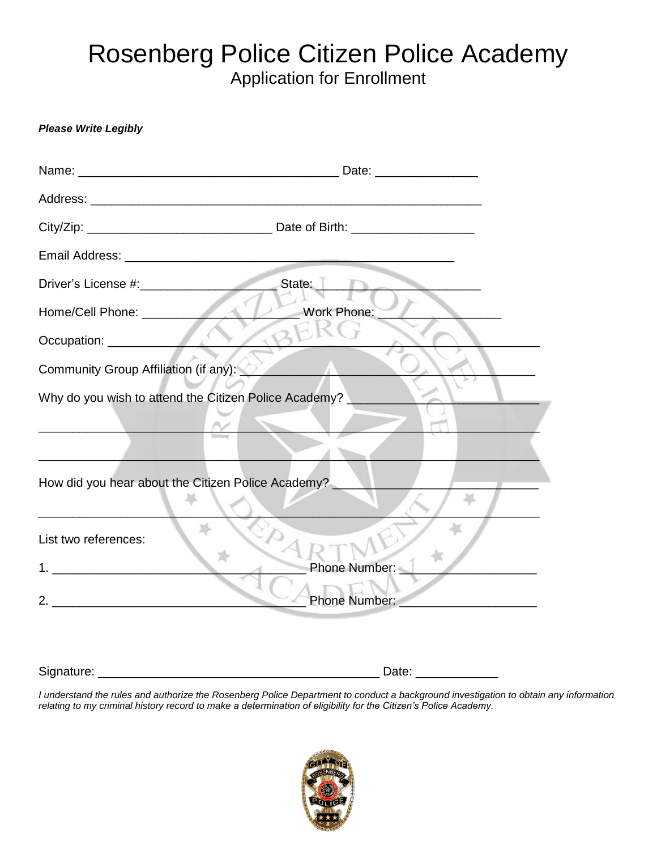## Rosenberg Police Citizen Police Academy Application for Enrollment

#### *Please Write Legibly*

|                                                                                                                                                                                                                                                                                                                        | State:                                                |
|------------------------------------------------------------------------------------------------------------------------------------------------------------------------------------------------------------------------------------------------------------------------------------------------------------------------|-------------------------------------------------------|
|                                                                                                                                                                                                                                                                                                                        | Work Phone:                                           |
|                                                                                                                                                                                                                                                                                                                        |                                                       |
| Community Group Affiliation (if any):                                                                                                                                                                                                                                                                                  |                                                       |
|                                                                                                                                                                                                                                                                                                                        | Why do you wish to attend the Citizen Police Academy? |
|                                                                                                                                                                                                                                                                                                                        |                                                       |
|                                                                                                                                                                                                                                                                                                                        |                                                       |
| How did you hear about the Citizen Police Academy?                                                                                                                                                                                                                                                                     |                                                       |
|                                                                                                                                                                                                                                                                                                                        |                                                       |
| List two references:                                                                                                                                                                                                                                                                                                   |                                                       |
| 1. $\frac{1}{2}$ $\frac{1}{2}$ $\frac{1}{2}$ $\frac{1}{2}$ $\frac{1}{2}$ $\frac{1}{2}$ $\frac{1}{2}$ $\frac{1}{2}$ $\frac{1}{2}$ $\frac{1}{2}$ $\frac{1}{2}$ $\frac{1}{2}$ $\frac{1}{2}$ $\frac{1}{2}$ $\frac{1}{2}$ $\frac{1}{2}$ $\frac{1}{2}$ $\frac{1}{2}$ $\frac{1}{2}$ $\frac{1}{2}$ $\frac{1}{2}$ $\frac{1}{2}$ | Phone Number: _                                       |
|                                                                                                                                                                                                                                                                                                                        | Phone Number:                                         |
|                                                                                                                                                                                                                                                                                                                        |                                                       |

Signature: \_\_\_\_\_\_\_\_\_\_\_\_\_\_\_\_\_\_\_\_\_\_\_\_\_\_\_\_\_\_\_\_\_\_\_\_\_\_\_\_\_ Date: \_\_\_\_\_\_\_\_\_\_\_\_

*I understand the rules and authorize the Rosenberg Police Department to conduct a background investigation to obtain any information relating to my criminal history record to make a determination of eligibility for the Citizen's Police Academy.*

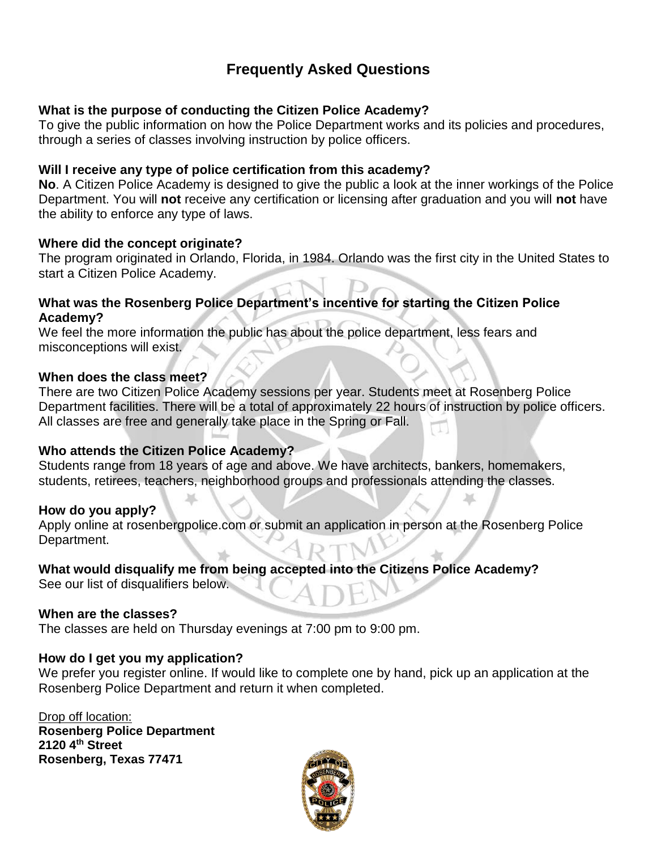### **Frequently Asked Questions**

#### **What is the purpose of conducting the Citizen Police Academy?**

To give the public information on how the Police Department works and its policies and procedures, through a series of classes involving instruction by police officers.

#### **Will I receive any type of police certification from this academy?**

**No**. A Citizen Police Academy is designed to give the public a look at the inner workings of the Police Department. You will **not** receive any certification or licensing after graduation and you will **not** have the ability to enforce any type of laws.

#### **Where did the concept originate?**

The program originated in Orlando, Florida, in 1984. Orlando was the first city in the United States to start a Citizen Police Academy.

#### **What was the Rosenberg Police Department's incentive for starting the Citizen Police Academy?**

We feel the more information the public has about the police department, less fears and misconceptions will exist.

#### **When does the class meet?**

There are two Citizen Police Academy sessions per year. Students meet at Rosenberg Police Department facilities. There will be a total of approximately 22 hours of instruction by police officers. All classes are free and generally take place in the Spring or Fall.

#### **Who attends the Citizen Police Academy?**

Students range from 18 years of age and above. We have architects, bankers, homemakers, students, retirees, teachers, neighborhood groups and professionals attending the classes.

#### **How do you apply?**

Apply online at rosenbergpolice.com or submit an application in person at the Rosenberg Police Department.

#### **What would disqualify me from being accepted into the Citizens Police Academy?**

See our list of disqualifiers below.

#### **When are the classes?**

The classes are held on Thursday evenings at 7:00 pm to 9:00 pm.

#### **How do I get you my application?**

We prefer you register online. If would like to complete one by hand, pick up an application at the Rosenberg Police Department and return it when completed.

Drop off location: **Rosenberg Police Department 2120 4th Street Rosenberg, Texas 77471**